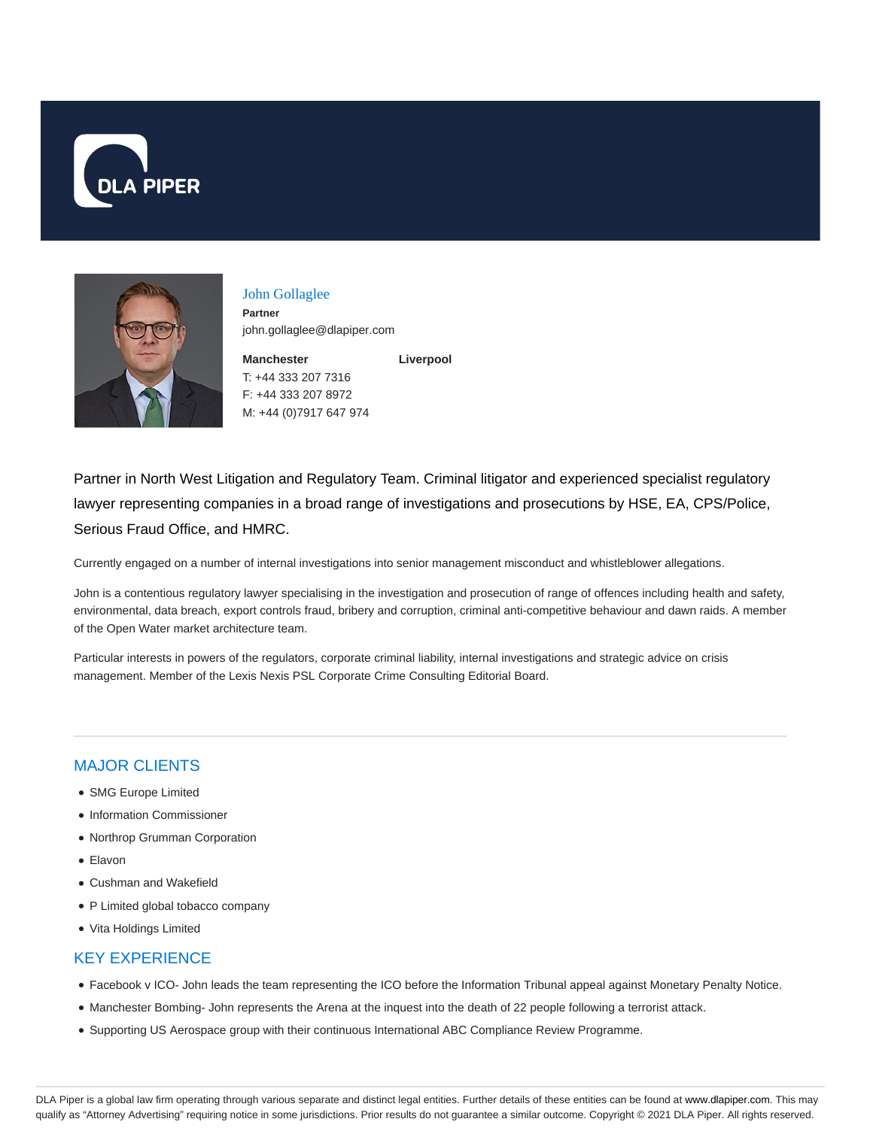



John Gollaglee **Partner** john.gollaglee@dlapiper.com

**Manchester** T: +44 333 207 7316 F: +44 333 207 8972 M: +44 (0)7917 647 974

Partner in North West Litigation and Regulatory Team. Criminal litigator and experienced specialist regulatory lawyer representing companies in a broad range of investigations and prosecutions by HSE, EA, CPS/Police, Serious Fraud Office, and HMRC.

**Liverpool**

Currently engaged on a number of internal investigations into senior management misconduct and whistleblower allegations.

John is a contentious regulatory lawyer specialising in the investigation and prosecution of range of offences including health and safety, environmental, data breach, export controls fraud, bribery and corruption, criminal anti-competitive behaviour and dawn raids. A member of the Open Water market architecture team.

Particular interests in powers of the regulators, corporate criminal liability, internal investigations and strategic advice on crisis management. Member of the Lexis Nexis PSL Corporate Crime Consulting Editorial Board.

# MAJOR CLIENTS

- SMG Europe Limited
- Information Commissioner
- Northrop Grumman Corporation
- Elavon
- Cushman and Wakefield
- P Limited global tobacco company
- Vita Holdings Limited

### KEY EXPERIENCE

- Facebook v ICO- John leads the team representing the ICO before the Information Tribunal appeal against Monetary Penalty Notice.
- Manchester Bombing- John represents the Arena at the inquest into the death of 22 people following a terrorist attack.
- Supporting US Aerospace group with their continuous International ABC Compliance Review Programme.

DLA Piper is a global law firm operating through various separate and distinct legal entities. Further details of these entities can be found at www.dlapiper.com. This may qualify as "Attorney Advertising" requiring notice in some jurisdictions. Prior results do not guarantee a similar outcome. Copyright @ 2021 DLA Piper. All rights reserved.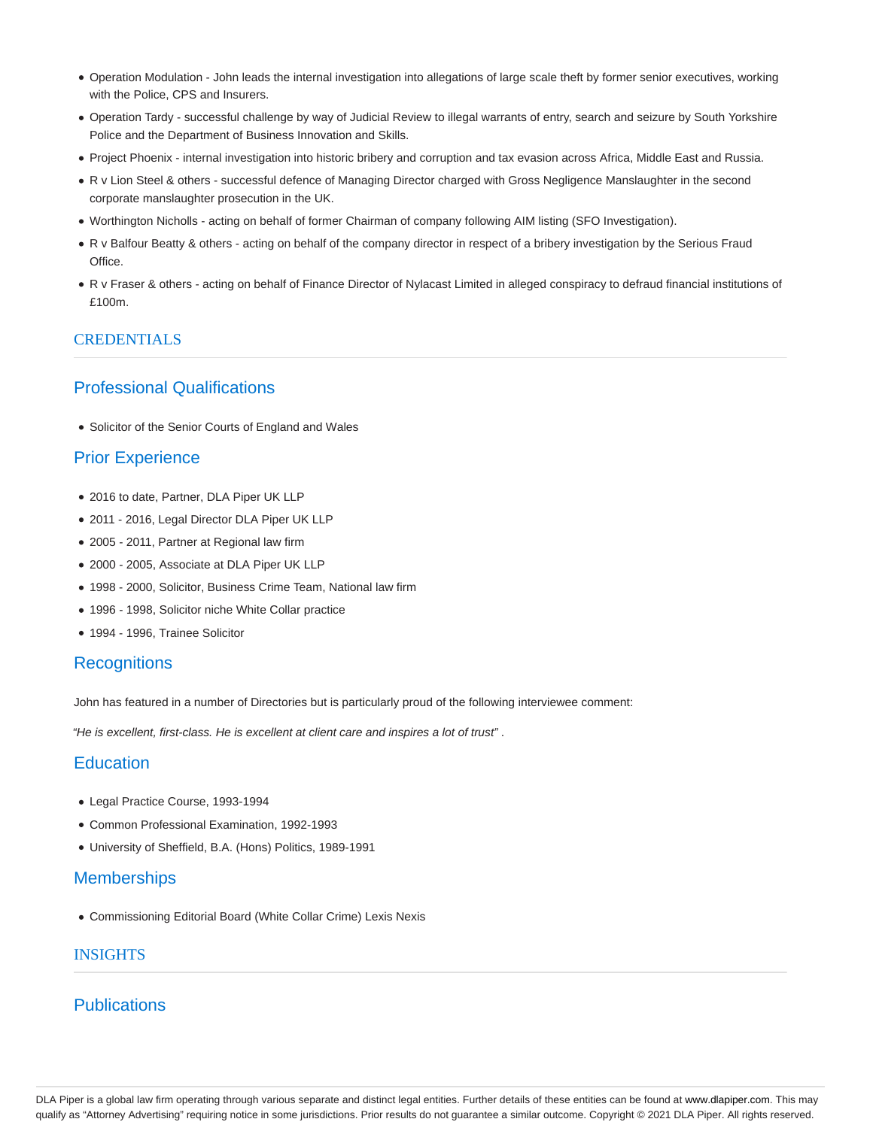- Operation Modulation John leads the internal investigation into allegations of large scale theft by former senior executives, working with the Police, CPS and Insurers.
- Operation Tardy successful challenge by way of Judicial Review to illegal warrants of entry, search and seizure by South Yorkshire Police and the Department of Business Innovation and Skills.
- Project Phoenix internal investigation into historic bribery and corruption and tax evasion across Africa, Middle East and Russia.
- R v Lion Steel & others successful defence of Managing Director charged with Gross Negligence Manslaughter in the second corporate manslaughter prosecution in the UK.
- Worthington Nicholls acting on behalf of former Chairman of company following AIM listing (SFO Investigation).
- R v Balfour Beatty & others acting on behalf of the company director in respect of a bribery investigation by the Serious Fraud Office.
- R v Fraser & others acting on behalf of Finance Director of Nylacast Limited in alleged conspiracy to defraud financial institutions of £100m.

### CREDENTIALS

# Professional Qualifications

Solicitor of the Senior Courts of England and Wales

# Prior Experience

- 2016 to date, Partner, DLA Piper UK LLP
- 2011 2016, Legal Director DLA Piper UK LLP
- 2005 2011, Partner at Regional law firm
- 2000 2005, Associate at DLA Piper UK LLP
- 1998 2000, Solicitor, Business Crime Team, National law firm
- 1996 1998, Solicitor niche White Collar practice
- 1994 1996, Trainee Solicitor

# **Recognitions**

John has featured in a number of Directories but is particularly proud of the following interviewee comment:

"He is excellent, first-class. He is excellent at client care and inspires a lot of trust" .

### **Education**

- Legal Practice Course, 1993-1994
- Common Professional Examination, 1992-1993
- University of Sheffield, B.A. (Hons) Politics, 1989-1991

### **Memberships**

Commissioning Editorial Board (White Collar Crime) Lexis Nexis

### INSIGHTS

# **Publications**